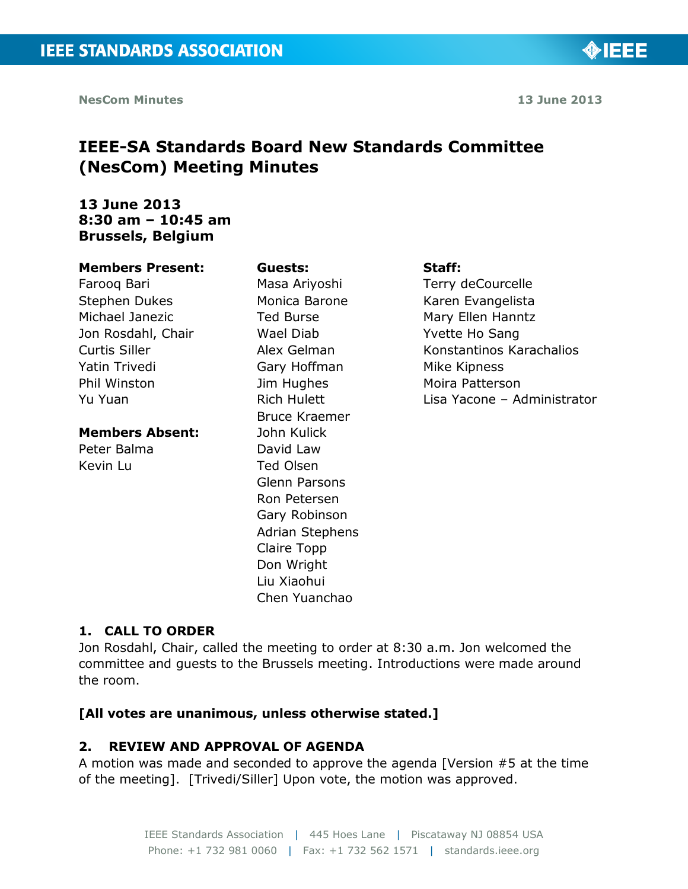◈IEEE

# **IEEE-SA Standards Board New Standards Committee (NesCom) Meeting Minutes**

## **13 June 2013 8:30 am – 10:45 am Brussels, Belgium**

#### **Members Present:**

Farooq Bari Stephen Dukes Michael Janezic Jon Rosdahl, Chair Curtis Siller Yatin Trivedi Phil Winston Yu Yuan

#### **Members Absent:**

Peter Balma Kevin Lu

**Guests:** Masa Ariyoshi Monica Barone Ted Burse Wael Diab Alex Gelman Gary Hoffman Jim Hughes Rich Hulett Bruce Kraemer John Kulick David Law Ted Olsen Glenn Parsons Ron Petersen Gary Robinson Adrian Stephens Claire Topp Don Wright Liu Xiaohui Chen Yuanchao

#### **Staff:**

Terry deCourcelle Karen Evangelista Mary Ellen Hanntz Yvette Ho Sang Konstantinos Karachalios Mike Kipness Moira Patterson Lisa Yacone – Administrator

#### **1. CALL TO ORDER**

Jon Rosdahl, Chair, called the meeting to order at 8:30 a.m. Jon welcomed the committee and guests to the Brussels meeting. Introductions were made around the room.

#### **[All votes are unanimous, unless otherwise stated.]**

#### **2. REVIEW AND APPROVAL OF AGENDA**

A motion was made and seconded to approve the agenda [Version #5 at the time of the meeting]. [Trivedi/Siller] Upon vote, the motion was approved.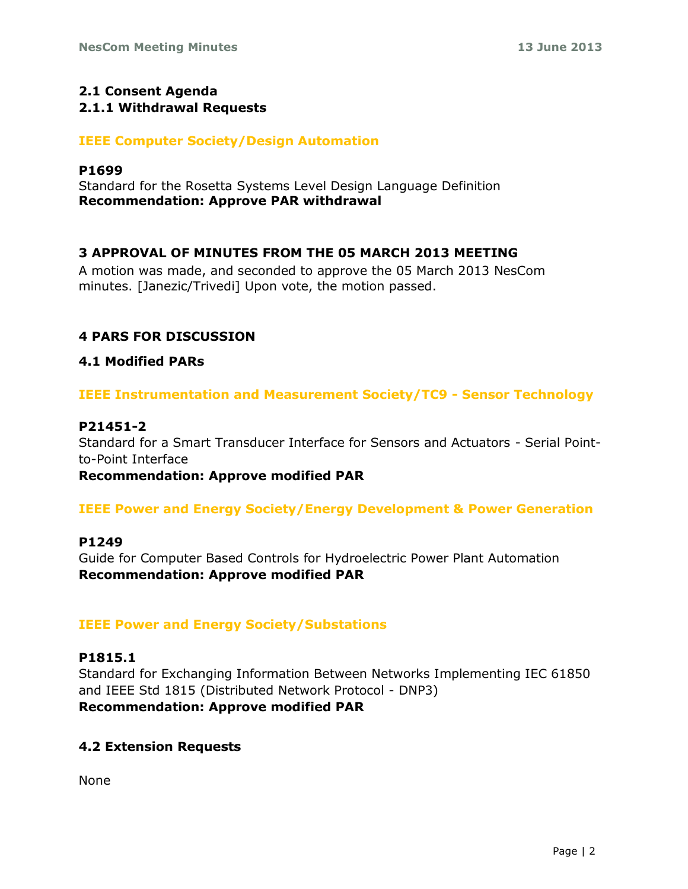# **2.1 Consent Agenda**

### **2.1.1 Withdrawal Requests**

### **IEEE Computer Society/Design Automation**

#### **P1699**

Standard for the Rosetta Systems Level Design Language Definition **Recommendation: Approve PAR withdrawal**

### **3 APPROVAL OF MINUTES FROM THE 05 MARCH 2013 MEETING**

A motion was made, and seconded to approve the 05 March 2013 NesCom minutes. [Janezic/Trivedi] Upon vote, the motion passed.

### **4 PARS FOR DISCUSSION**

### **4.1 Modified PARs**

**IEEE Instrumentation and Measurement Society/TC9 - Sensor Technology**

### **P21451-2**

Standard for a Smart Transducer Interface for Sensors and Actuators - Serial Pointto-Point Interface

**Recommendation: Approve modified PAR** 

### **IEEE Power and Energy Society/Energy Development & Power Generation**

#### **P1249**

Guide for Computer Based Controls for Hydroelectric Power Plant Automation **Recommendation: Approve modified PAR** 

### **IEEE Power and Energy Society/Substations**

#### **P1815.1**

Standard for Exchanging Information Between Networks Implementing IEC 61850 and IEEE Std 1815 (Distributed Network Protocol - DNP3) **Recommendation: Approve modified PAR** 

### **4.2 Extension Requests**

None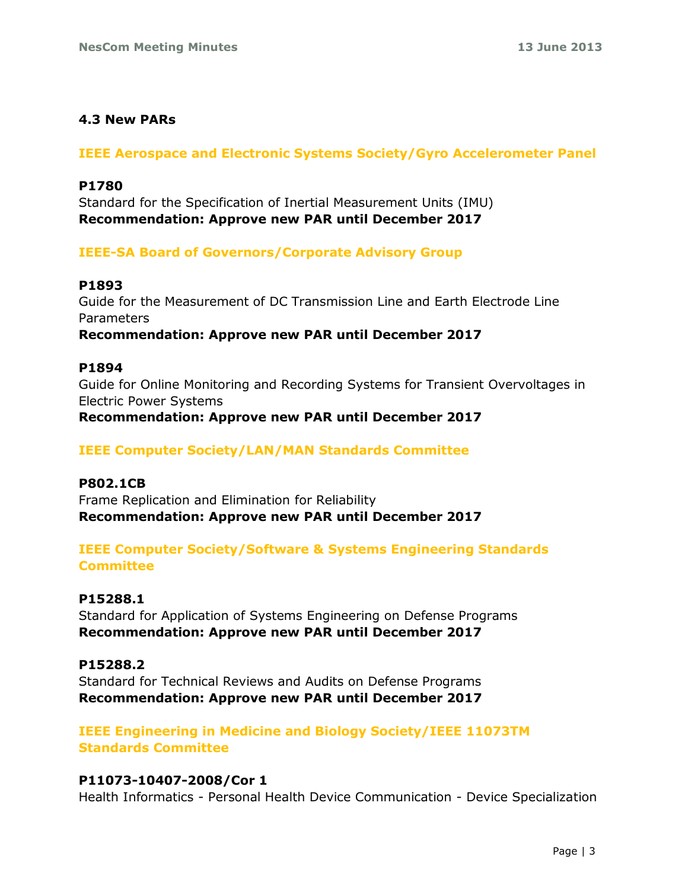# **4.3 New PARs**

### **IEEE Aerospace and Electronic Systems Society/Gyro Accelerometer Panel**

### **P1780**

Standard for the Specification of Inertial Measurement Units (IMU) **Recommendation: Approve new PAR until December 2017** 

### **IEEE-SA Board of Governors/Corporate Advisory Group**

### **P1893**

Guide for the Measurement of DC Transmission Line and Earth Electrode Line Parameters **Recommendation: Approve new PAR until December 2017**

### **P1894**

Guide for Online Monitoring and Recording Systems for Transient Overvoltages in Electric Power Systems **Recommendation: Approve new PAR until December 2017** 

### **IEEE Computer Society/LAN/MAN Standards Committee**

#### **P802.1CB**

Frame Replication and Elimination for Reliability **Recommendation: Approve new PAR until December 2017** 

# **IEEE Computer Society/Software & Systems Engineering Standards Committee**

### **P15288.1**

Standard for Application of Systems Engineering on Defense Programs **Recommendation: Approve new PAR until December 2017** 

### **P15288.2**

Standard for Technical Reviews and Audits on Defense Programs **Recommendation: Approve new PAR until December 2017** 

### **IEEE Engineering in Medicine and Biology Society/IEEE 11073TM Standards Committee**

### **P11073-10407-2008/Cor 1**

Health Informatics - Personal Health Device Communication - Device Specialization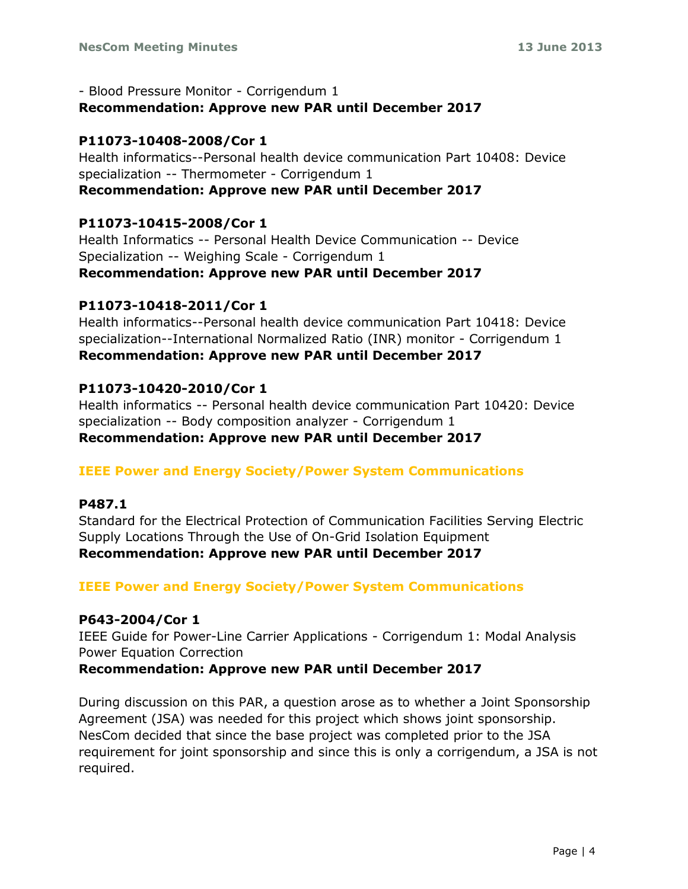- Blood Pressure Monitor - Corrigendum 1 **Recommendation: Approve new PAR until December 2017** 

### **P11073-10408-2008/Cor 1**

Health informatics--Personal health device communication Part 10408: Device specialization -- Thermometer - Corrigendum 1 **Recommendation: Approve new PAR until December 2017** 

### **P11073-10415-2008/Cor 1**

Health Informatics -- Personal Health Device Communication -- Device Specialization -- Weighing Scale - Corrigendum 1 **Recommendation: Approve new PAR until December 2017** 

### **P11073-10418-2011/Cor 1**

Health informatics--Personal health device communication Part 10418: Device specialization--International Normalized Ratio (INR) monitor - Corrigendum 1 **Recommendation: Approve new PAR until December 2017** 

### **P11073-10420-2010/Cor 1**

Health informatics -- Personal health device communication Part 10420: Device specialization -- Body composition analyzer - Corrigendum 1 **Recommendation: Approve new PAR until December 2017** 

#### **IEEE Power and Energy Society/Power System Communications**

#### **P487.1**

Standard for the Electrical Protection of Communication Facilities Serving Electric Supply Locations Through the Use of On-Grid Isolation Equipment **Recommendation: Approve new PAR until December 2017** 

### **IEEE Power and Energy Society/Power System Communications**

#### **P643-2004/Cor 1**

IEEE Guide for Power-Line Carrier Applications - Corrigendum 1: Modal Analysis Power Equation Correction

#### **Recommendation: Approve new PAR until December 2017**

During discussion on this PAR, a question arose as to whether a Joint Sponsorship Agreement (JSA) was needed for this project which shows joint sponsorship. NesCom decided that since the base project was completed prior to the JSA requirement for joint sponsorship and since this is only a corrigendum, a JSA is not required.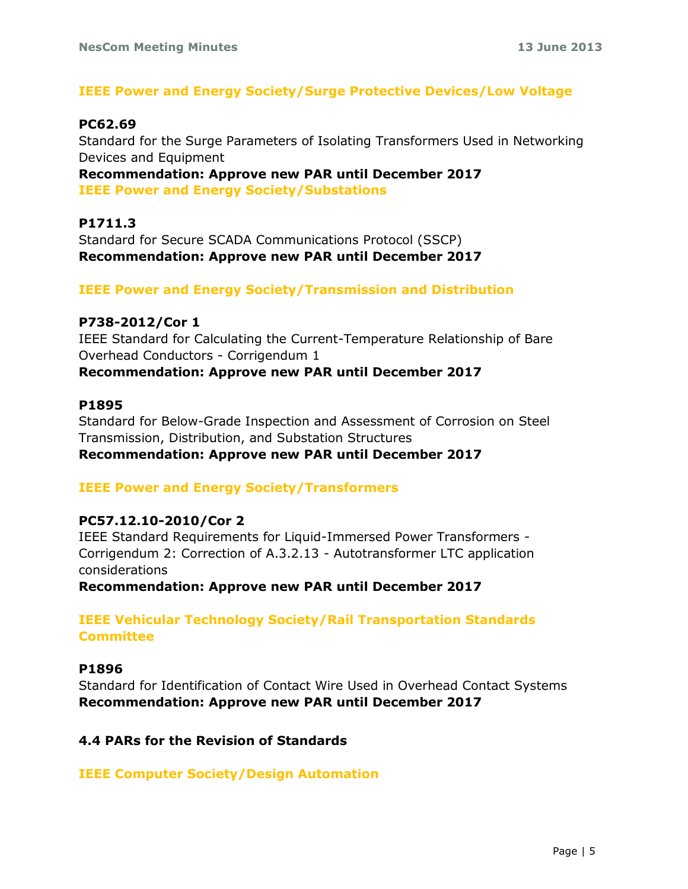### **IEEE Power and Energy Society/Surge Protective Devices/Low Voltage**

#### **PC62.69**

Standard for the Surge Parameters of Isolating Transformers Used in Networking Devices and Equipment

**Recommendation: Approve new PAR until December 2017 IEEE Power and Energy Society/Substations** 

### **P1711.3**

Standard for Secure SCADA Communications Protocol (SSCP) **Recommendation: Approve new PAR until December 2017**

### **IEEE Power and Energy Society/Transmission and Distribution**

#### **P738-2012/Cor 1**

IEEE Standard for Calculating the Current-Temperature Relationship of Bare Overhead Conductors - Corrigendum 1 **Recommendation: Approve new PAR until December 2017** 

#### **P1895**

Standard for Below-Grade Inspection and Assessment of Corrosion on Steel Transmission, Distribution, and Substation Structures **Recommendation: Approve new PAR until December 2017**

#### **IEEE Power and Energy Society/Transformers**

#### **PC57.12.10-2010/Cor 2**

IEEE Standard Requirements for Liquid-Immersed Power Transformers - Corrigendum 2: Correction of A.3.2.13 - Autotransformer LTC application considerations

**Recommendation: Approve new PAR until December 2017** 

**IEEE Vehicular Technology Society/Rail Transportation Standards Committee** 

### **P1896**

Standard for Identification of Contact Wire Used in Overhead Contact Systems **Recommendation: Approve new PAR until December 2017**

#### **4.4 PARs for the Revision of Standards**

**IEEE Computer Society/Design Automation**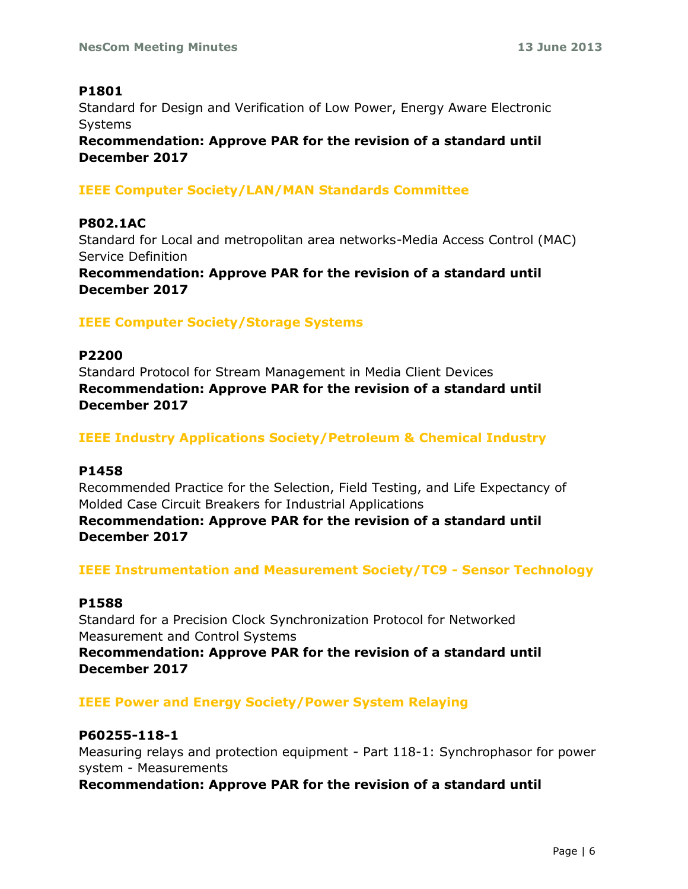### **P1801**

Standard for Design and Verification of Low Power, Energy Aware Electronic Systems

**Recommendation: Approve PAR for the revision of a standard until December 2017**

### **IEEE Computer Society/LAN/MAN Standards Committee**

### **P802.1AC**

Standard for Local and metropolitan area networks-Media Access Control (MAC) Service Definition

**Recommendation: Approve PAR for the revision of a standard until December 2017**

# **IEEE Computer Society/Storage Systems**

### **P2200**

Standard Protocol for Stream Management in Media Client Devices **Recommendation: Approve PAR for the revision of a standard until December 2017**

### **IEEE Industry Applications Society/Petroleum & Chemical Industry**

#### **P1458**

Recommended Practice for the Selection, Field Testing, and Life Expectancy of Molded Case Circuit Breakers for Industrial Applications

**Recommendation: Approve PAR for the revision of a standard until December 2017**

**IEEE Instrumentation and Measurement Society/TC9 - Sensor Technology** 

#### **P1588**

Standard for a Precision Clock Synchronization Protocol for Networked Measurement and Control Systems

**Recommendation: Approve PAR for the revision of a standard until December 2017**

### **IEEE Power and Energy Society/Power System Relaying**

#### **P60255-118-1**

Measuring relays and protection equipment - Part 118-1: Synchrophasor for power system - Measurements

**Recommendation: Approve PAR for the revision of a standard until**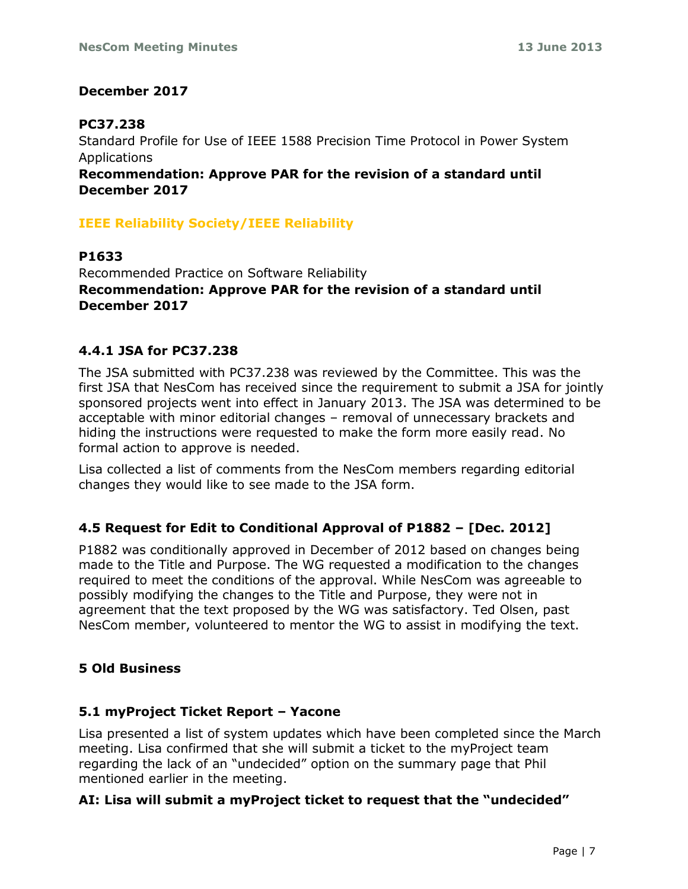### **December 2017**

## **PC37.238**

Standard Profile for Use of IEEE 1588 Precision Time Protocol in Power System Applications

**Recommendation: Approve PAR for the revision of a standard until December 2017**

## **IEEE Reliability Society/IEEE Reliability**

**P1633**  Recommended Practice on Software Reliability **Recommendation: Approve PAR for the revision of a standard until December 2017** 

### **4.4.1 JSA for PC37.238**

The JSA submitted with PC37.238 was reviewed by the Committee. This was the first JSA that NesCom has received since the requirement to submit a JSA for jointly sponsored projects went into effect in January 2013. The JSA was determined to be acceptable with minor editorial changes – removal of unnecessary brackets and hiding the instructions were requested to make the form more easily read. No formal action to approve is needed.

Lisa collected a list of comments from the NesCom members regarding editorial changes they would like to see made to the JSA form.

### **4.5 Request for Edit to Conditional Approval of P1882 – [Dec. 2012]**

P1882 was conditionally approved in December of 2012 based on changes being made to the Title and Purpose. The WG requested a modification to the changes required to meet the conditions of the approval. While NesCom was agreeable to possibly modifying the changes to the Title and Purpose, they were not in agreement that the text proposed by the WG was satisfactory. Ted Olsen, past NesCom member, volunteered to mentor the WG to assist in modifying the text.

### **5 Old Business**

### **5.1 myProject Ticket Report – Yacone**

Lisa presented a list of system updates which have been completed since the March meeting. Lisa confirmed that she will submit a ticket to the myProject team regarding the lack of an "undecided" option on the summary page that Phil mentioned earlier in the meeting.

### **AI: Lisa will submit a myProject ticket to request that the "undecided"**